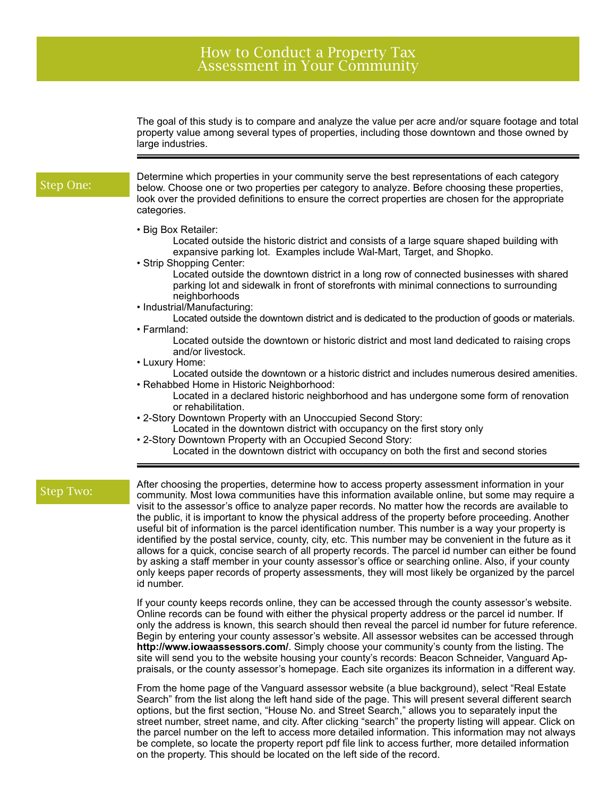## How to Conduct a Property Tax Assessment in Your Community

The goal of this study is to compare and analyze the value per acre and/or square footage and total property value among several types of properties, including those downtown and those owned by large industries.

## Step One:

Determine which properties in your community serve the best representations of each category below. Choose one or two properties per category to analyze. Before choosing these properties, look over the provided definitions to ensure the correct properties are chosen for the appropriate categories.

• Big Box Retailer:

Located outside the historic district and consists of a large square shaped building with expansive parking lot. Examples include Wal-Mart, Target, and Shopko.

• Strip Shopping Center:

Located outside the downtown district in a long row of connected businesses with shared parking lot and sidewalk in front of storefronts with minimal connections to surrounding neighborhoods

• Industrial/Manufacturing:

Located outside the downtown district and is dedicated to the production of goods or materials. • Farmland:

Located outside the downtown or historic district and most land dedicated to raising crops and/or livestock.

• Luxury Home:

Located outside the downtown or a historic district and includes numerous desired amenities. • Rehabbed Home in Historic Neighborhood:

Located in a declared historic neighborhood and has undergone some form of renovation or rehabilitation.

- 2-Story Downtown Property with an Unoccupied Second Story:
- Located in the downtown district with occupancy on the first story only • 2-Story Downtown Property with an Occupied Second Story:
	- Located in the downtown district with occupancy on both the first and second stories

Step Two:

After choosing the properties, determine how to access property assessment information in your community. Most Iowa communities have this information available online, but some may require a visit to the assessor's office to analyze paper records. No matter how the records are available to the public, it is important to know the physical address of the property before proceeding. Another useful bit of information is the parcel identification number. This number is a way your property is identified by the postal service, county, city, etc. This number may be convenient in the future as it allows for a quick, concise search of all property records. The parcel id number can either be found by asking a staff member in your county assessor's office or searching online. Also, if your county only keeps paper records of property assessments, they will most likely be organized by the parcel id number.

If your county keeps records online, they can be accessed through the county assessor's website. Online records can be found with either the physical property address or the parcel id number. If only the address is known, this search should then reveal the parcel id number for future reference. Begin by entering your county assessor's website. All assessor websites can be accessed through **http://www.iowaassessors.com/**. Simply choose your community's county from the listing. The site will send you to the website housing your county's records: Beacon Schneider, Vanguard Appraisals, or the county assessor's homepage. Each site organizes its information in a different way.

From the home page of the Vanguard assessor website (a blue background), select "Real Estate Search" from the list along the left hand side of the page. This will present several different search options, but the first section, "House No. and Street Search," allows you to separately input the street number, street name, and city. After clicking "search" the property listing will appear. Click on the parcel number on the left to access more detailed information. This information may not always be complete, so locate the property report pdf file link to access further, more detailed information on the property. This should be located on the left side of the record.